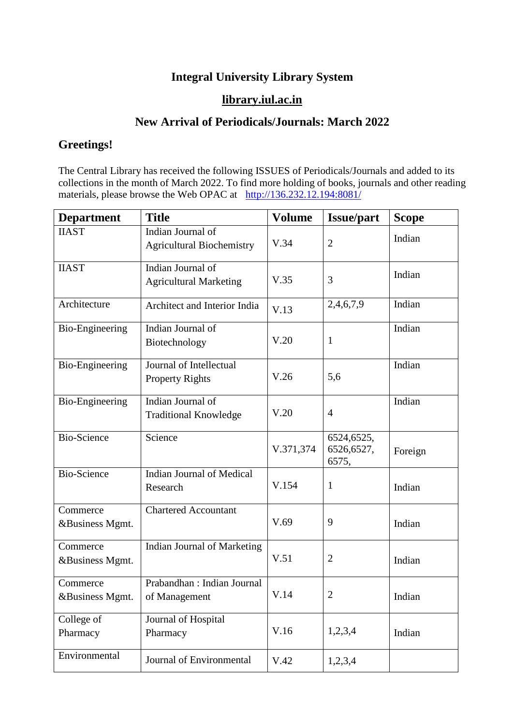## **Integral University Library System**

## **[library.iul.ac.in](http://library.iul.ac.in/)**

## **New Arrival of Periodicals/Journals: March 2022**

## **Greetings!**

The Central Library has received the following ISSUES of Periodicals/Journals and added to its collections in the month of March 2022. To find more holding of books, journals and other reading materials, please browse the Web OPAC at <http://136.232.12.194:8081/>

| <b>Department</b>           | <b>Title</b>                                          | <b>Volume</b> | <b>Issue/part</b>                 | <b>Scope</b> |
|-----------------------------|-------------------------------------------------------|---------------|-----------------------------------|--------------|
| <b>IIAST</b>                | Indian Journal of<br><b>Agricultural Biochemistry</b> | V.34          | $\overline{2}$                    | Indian       |
| <b>IIAST</b>                | Indian Journal of<br><b>Agricultural Marketing</b>    | V.35          | 3                                 | Indian       |
| Architecture                | Architect and Interior India                          | V.13          | 2,4,6,7,9                         | Indian       |
| <b>Bio-Engineering</b>      | Indian Journal of<br>Biotechnology                    | V.20          | 1                                 | Indian       |
| <b>Bio-Engineering</b>      | Journal of Intellectual<br><b>Property Rights</b>     | V.26          | 5,6                               | Indian       |
| Bio-Engineering             | Indian Journal of<br><b>Traditional Knowledge</b>     | V.20          | $\overline{4}$                    | Indian       |
| <b>Bio-Science</b>          | Science                                               | V.371,374     | 6524,6525,<br>6526,6527,<br>6575, | Foreign      |
| <b>Bio-Science</b>          | <b>Indian Journal of Medical</b><br>Research          | V.154         | 1                                 | Indian       |
| Commerce<br>&Business Mgmt. | <b>Chartered Accountant</b>                           | V.69          | 9                                 | Indian       |
| Commerce<br>&Business Mgmt. | Indian Journal of Marketing                           | V.51          | $\overline{2}$                    | Indian       |
| Commerce<br>&Business Mgmt. | Prabandhan: Indian Journal<br>of Management           | V.14          | $\overline{2}$                    | Indian       |
| College of<br>Pharmacy      | Journal of Hospital<br>Pharmacy                       | V.16          | 1,2,3,4                           | Indian       |
| Environmental               | Journal of Environmental                              | V.42          | 1,2,3,4                           |              |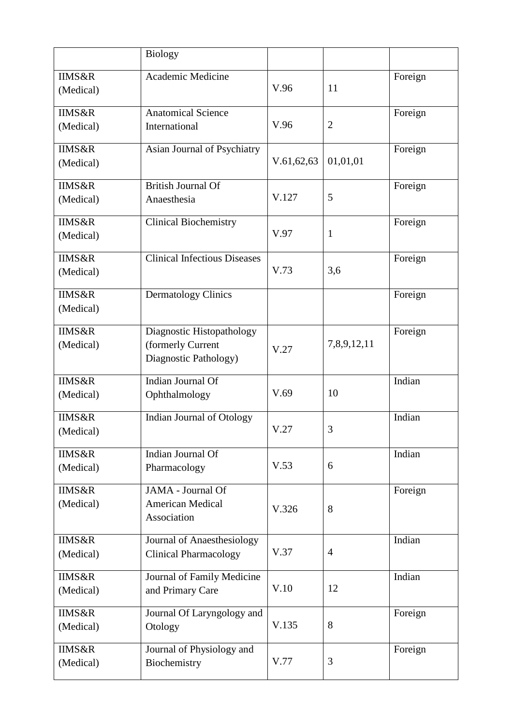|                                | <b>Biology</b>                                                          |            |                |         |
|--------------------------------|-------------------------------------------------------------------------|------------|----------------|---------|
| <b>IIMS&amp;R</b><br>(Medical) | Academic Medicine                                                       | V.96       | 11             | Foreign |
| <b>IIMS&amp;R</b><br>(Medical) | <b>Anatomical Science</b><br>International                              | V.96       | $\overline{2}$ | Foreign |
| <b>IIMS&amp;R</b><br>(Medical) | Asian Journal of Psychiatry                                             | V.61,62,63 | 01,01,01       | Foreign |
| <b>IIMS&amp;R</b><br>(Medical) | <b>British Journal Of</b><br>Anaesthesia                                | V.127      | 5              | Foreign |
| <b>IIMS&amp;R</b><br>(Medical) | <b>Clinical Biochemistry</b>                                            | V.97       | 1              | Foreign |
| <b>IIMS&amp;R</b><br>(Medical) | Clinical Infectious Diseases                                            | V.73       | 3,6            | Foreign |
| <b>IIMS&amp;R</b><br>(Medical) | <b>Dermatology Clinics</b>                                              |            |                | Foreign |
| <b>IIMS&amp;R</b><br>(Medical) | Diagnostic Histopathology<br>(formerly Current<br>Diagnostic Pathology) | V.27       | 7,8,9,12,11    | Foreign |
| <b>IIMS&amp;R</b><br>(Medical) | Indian Journal Of<br>Ophthalmology                                      | V.69       | 10             | Indian  |
| <b>IIMS&amp;R</b><br>(Medical) | Indian Journal of Otology                                               | V.27       | 3              | Indian  |
| <b>IIMS&amp;R</b><br>(Medical) | Indian Journal Of<br>Pharmacology                                       | V.53       | 6              | Indian  |
| <b>IIMS&amp;R</b><br>(Medical) | JAMA - Journal Of<br><b>American Medical</b><br>Association             | V.326      | 8              | Foreign |
| <b>IIMS&amp;R</b><br>(Medical) | Journal of Anaesthesiology<br><b>Clinical Pharmacology</b>              | V.37       | $\overline{4}$ | Indian  |
| <b>IIMS&amp;R</b><br>(Medical) | Journal of Family Medicine<br>and Primary Care                          | V.10       | 12             | Indian  |
| <b>IIMS&amp;R</b><br>(Medical) | Journal Of Laryngology and<br>Otology                                   | V.135      | 8              | Foreign |
| <b>IIMS&amp;R</b><br>(Medical) | Journal of Physiology and<br>Biochemistry                               | V.77       | 3              | Foreign |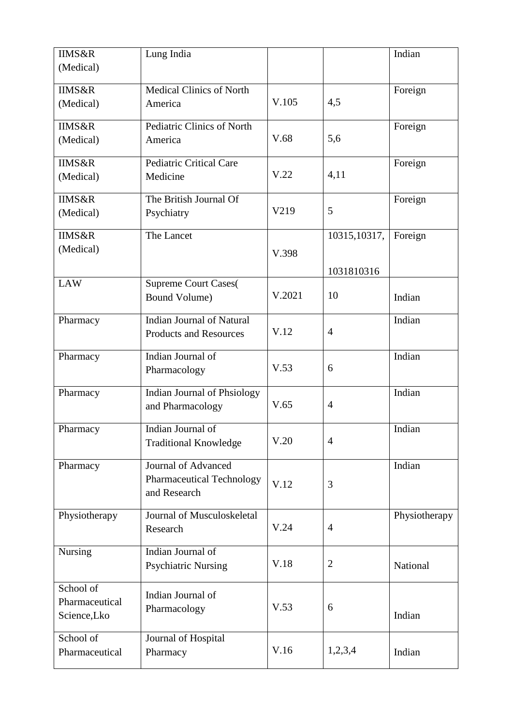| <b>IIMS&amp;R</b> | Lung India                       |        |                | Indian        |
|-------------------|----------------------------------|--------|----------------|---------------|
| (Medical)         |                                  |        |                |               |
|                   |                                  |        |                |               |
| <b>IIMS&amp;R</b> | <b>Medical Clinics of North</b>  | V.105  | 4,5            | Foreign       |
| (Medical)         | America                          |        |                |               |
| <b>IIMS&amp;R</b> | Pediatric Clinics of North       |        |                | Foreign       |
| (Medical)         | America                          | V.68   | 5,6            |               |
|                   |                                  |        |                |               |
| <b>IIMS&amp;R</b> | <b>Pediatric Critical Care</b>   |        |                | Foreign       |
| (Medical)         | Medicine                         | V.22   | 4,11           |               |
| <b>IIMS&amp;R</b> | The British Journal Of           |        |                | Foreign       |
| (Medical)         | Psychiatry                       | V219   | 5              |               |
|                   |                                  |        |                |               |
| <b>IIMS&amp;R</b> | The Lancet                       |        | 10315, 10317,  | Foreign       |
| (Medical)         |                                  | V.398  |                |               |
|                   |                                  |        | 1031810316     |               |
| <b>LAW</b>        | <b>Supreme Court Cases(</b>      |        |                |               |
|                   | Bound Volume)                    | V.2021 | 10             | Indian        |
|                   |                                  |        |                |               |
| Pharmacy          | <b>Indian Journal of Natural</b> |        |                | Indian        |
|                   | <b>Products and Resources</b>    | V.12   | $\overline{4}$ |               |
| Pharmacy          | Indian Journal of                |        |                | Indian        |
|                   | Pharmacology                     | V.53   | 6              |               |
|                   |                                  |        |                |               |
| Pharmacy          | Indian Journal of Phsiology      |        |                | Indian        |
|                   | and Pharmacology                 | V.65   | $\overline{4}$ |               |
|                   |                                  |        |                |               |
| Pharmacy          | Indian Journal of                | V.20   | $\overline{4}$ | Indian        |
|                   | <b>Traditional Knowledge</b>     |        |                |               |
| Pharmacy          | <b>Journal of Advanced</b>       |        |                | Indian        |
|                   | <b>Pharmaceutical Technology</b> | V.12   | 3              |               |
|                   | and Research                     |        |                |               |
|                   |                                  |        |                |               |
| Physiotherapy     | Journal of Musculoskeletal       |        |                | Physiotherapy |
|                   | Research                         | V.24   | $\overline{4}$ |               |
| <b>Nursing</b>    | Indian Journal of                |        |                |               |
|                   | <b>Psychiatric Nursing</b>       | V.18   | $\overline{2}$ | National      |
|                   |                                  |        |                |               |
| School of         | Indian Journal of                |        |                |               |
| Pharmaceutical    | Pharmacology                     | V.53   | 6              |               |
| Science, Lko      |                                  |        |                | Indian        |
| School of         | Journal of Hospital              |        |                |               |
| Pharmaceutical    | Pharmacy                         | V.16   | 1,2,3,4        | Indian        |
|                   |                                  |        |                |               |